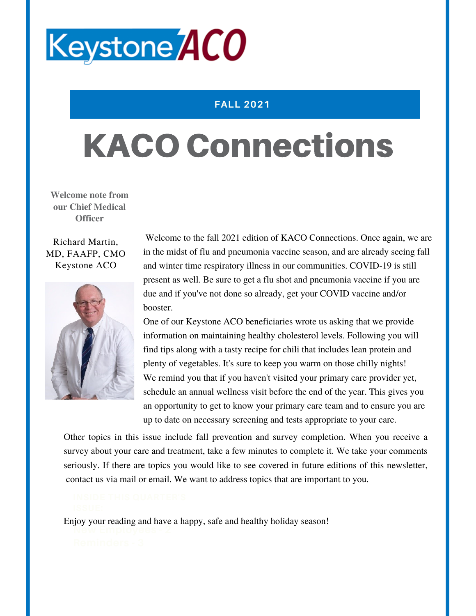

## **FALL 2021**

# KACO Connections

**Welcome note from our Chief Medical Officer**

Richard Martin, MD, FAAFP, CMO Keystone ACO



Welcome to the fall 2021 edition of KACO Connections. Once again, we are in the midst of flu and pneumonia vaccine season, and are already seeing fall and winter time respiratory illness in our communities. COVID-19 is still present as well. Be sure to get a flu shot and pneumonia vaccine if you are due and if you've not done so already, get your COVID vaccine and/or booster.

One of our Keystone ACO beneficiaries wrote us asking that we provide information on maintaining healthy cholesterol levels. Following you will find tips along with a tasty recipe for chili that includes lean protein and plenty of vegetables. It's sure to keep you warm on those chilly nights! We remind you that if you haven't visited your primary care provider yet, schedule an annual wellness visit before the end of the year. This gives you an opportunity to get to know your primary care team and to ensure you are up to date on necessary screening and tests appropriate to your care.

Other topics in this issue include fall prevention and survey completion. When you receive a survey about your care and treatment, take a few minutes to complete it. We take your comments seriously. If there are topics you would like to see covered in future editions of this newsletter, contact us via mail or email. We want to address topics that are important to you.

**New Employees - 2** Enjoy your reading and have a happy, safe and healthy holiday season!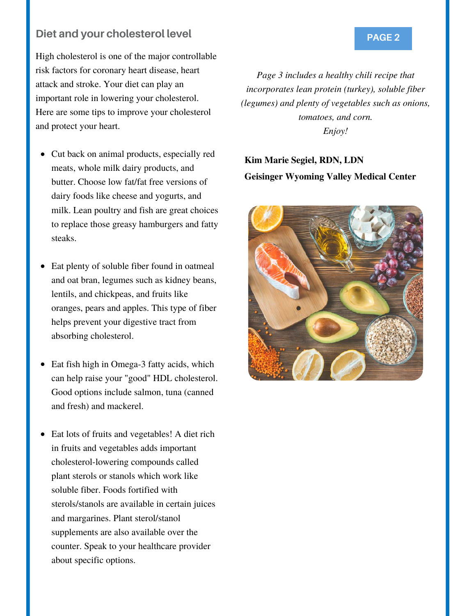## **Diet and your cholesterol level <b>PAGE 2** PAGE 2

High cholesterol is one of the major controllable risk factors for coronary heart disease, heart attack and stroke. Your diet can play an important role in lowering your cholesterol. Here are some tips to improve your cholesterol and protect your heart.

- Cut back on animal products, especially red meats, whole milk dairy products, and butter. Choose low fat/fat free versions of dairy foods like cheese and yogurts, and milk. Lean poultry and fish are great choices to replace those greasy hamburgers and fatty steaks.
- Eat plenty of soluble fiber found in oatmeal  $\bullet$ and oat bran, legumes such as kidney beans, lentils, and chickpeas, and fruits like oranges, pears and apples. This type of fiber helps prevent your digestive tract from absorbing cholesterol.
- Eat fish high in Omega-3 fatty acids, which  $\bullet$ can help raise your "good" HDL cholesterol. Good options include salmon, tuna (canned and fresh) and mackerel.
- Eat lots of fruits and vegetables! A diet rich in fruits and vegetables adds important cholesterol-lowering compounds called plant sterols or stanols which work like soluble fiber. Foods fortified with sterols/stanols are available in certain juices and margarines. Plant sterol/stanol supplements are also available over the counter. Speak to your healthcare provider about specific options.

*Page 3 includes a healthy chili recipe that incorporates lean protein (turkey), soluble fiber (legumes) and plenty of vegetables such as onions, tomatoes, and corn. Enjoy!*

## **Kim Marie Segiel, RDN, LDN Geisinger Wyoming Valley Medical Center**

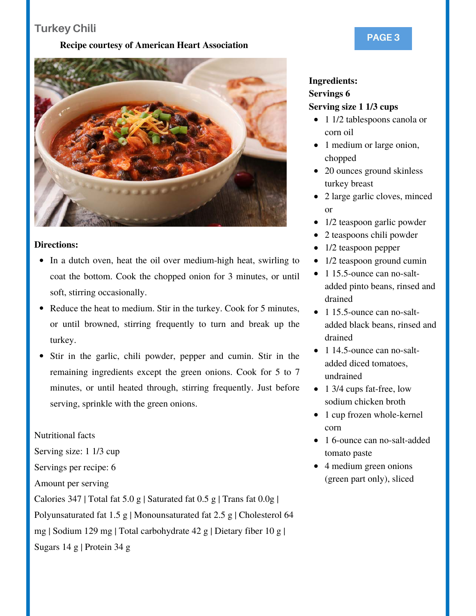## **Turkey Chili**

### **Recipe courtesy of American Heart Association**



### **Directions:**

- In a dutch oven, heat the oil over medium-high heat, swirling to coat the bottom. Cook the chopped onion for 3 minutes, or until soft, stirring occasionally.
- Reduce the heat to medium. Stir in the turkey. Cook for 5 minutes, or until browned, stirring frequently to turn and break up the turkey.
- Stir in the garlic, chili powder, pepper and cumin. Stir in the remaining ingredients except the green onions. Cook for 5 to 7 minutes, or until heated through, stirring frequently. Just before serving, sprinkle with the green onions.

Nutritional facts

Serving size: 1 1/3 cup

Servings per recipe: 6

Amount per serving

Calories 347 | Total fat 5.0 g | Saturated fat  $0.5$  g | Trans fat  $0.0g$  |

Polyunsaturated fat 1.5 g | Monounsaturated fat 2.5 g | Cholesterol 64

mg | Sodium 129 mg | Total carbohydrate 42 g | Dietary fiber 10 g |

Sugars 14 g | Protein 34 g

## **Ingredients: Servings 6 Serving size 1 1/3 cups**

- 1 1/2 tablespoons canola or corn oil
- 1 medium or large onion, chopped
- 20 ounces ground skinless turkey breast
- 2 large garlic cloves, minced  $\bullet$ or
- 1/2 teaspoon garlic powder  $\bullet$
- $\bullet$ 2 teaspoons chili powder
- 1/2 teaspoon pepper
- 1/2 teaspoon ground cumin
- 1 15.5-ounce can no-saltadded pinto beans, rinsed and drained
- 1 15.5-ounce can no-saltadded black beans, rinsed and drained
- 1 14.5-ounce can no-saltadded diced tomatoes, undrained
- 1 3/4 cups fat-free, low sodium chicken broth
- 1 cup frozen whole-kernel corn
- 1 6-ounce can no-salt-added tomato paste
- 4 medium green onions (green part only), sliced

## **PAGE 3**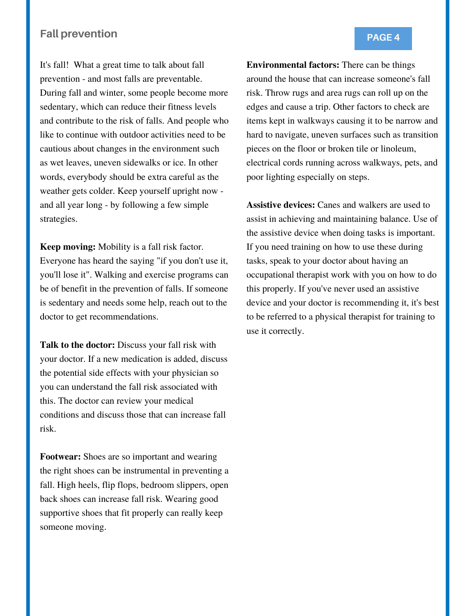## **Fall prevention**

It's fall! What a great time to talk about fall prevention - and most falls are preventable. During fall and winter, some people become more sedentary, which can reduce their fitness levels and contribute to the risk of falls. And people who like to continue with outdoor activities need to be cautious about changes in the environment such as wet leaves, uneven sidewalks or ice. In other words, everybody should be extra careful as the weather gets colder. Keep yourself upright now and all year long - by following a few simple strategies.

**Keep moving:** Mobility is a fall risk factor. Everyone has heard the saying "if you don't use it, you'll lose it". Walking and exercise programs can be of benefit in the prevention of falls. If someone is sedentary and needs some help, reach out to the doctor to get recommendations.

**Talk to the doctor:** Discuss your fall risk with your doctor. If a new medication is added, discuss the potential side effects with your physician so you can understand the fall risk associated with this. The doctor can review your medical conditions and discuss those that can increase fall risk.

**Footwear:** Shoes are so important and wearing the right shoes can be instrumental in preventing a fall. High heels, flip flops, bedroom slippers, open back shoes can increase fall risk. Wearing good supportive shoes that fit properly can really keep someone moving.

**Environmental factors:** There can be things around the house that can increase someone's fall risk. Throw rugs and area rugs can roll up on the edges and cause a trip. Other factors to check are items kept in walkways causing it to be narrow and hard to navigate, uneven surfaces such as transition pieces on the floor or broken tile or linoleum, electrical cords running across walkways, pets, and poor lighting especially on steps.

**Assistive devices:** Canes and walkers are used to assist in achieving and maintaining balance. Use of the assistive device when doing tasks is important. If you need training on how to use these during tasks, speak to your doctor about having an occupational therapist work with you on how to do this properly. If you've never used an assistive device and your doctor is recommending it, it's best to be referred to a physical therapist for training to use it correctly.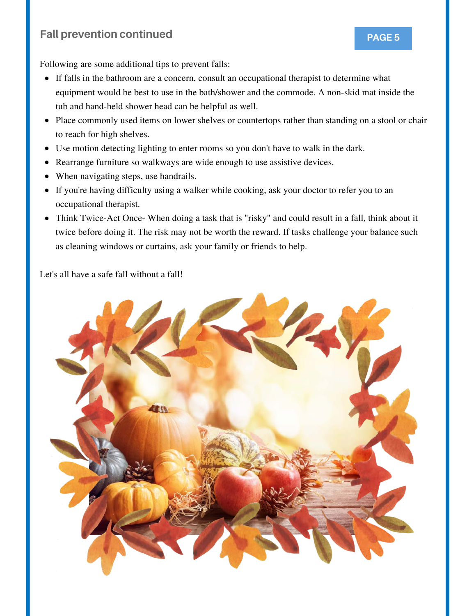## **Fall prevention continued PAGE 5**



Following are some additional tips to prevent falls:

- If falls in the bathroom are a concern, consult an occupational therapist to determine what equipment would be best to use in the bath/shower and the commode. A non-skid mat inside the tub and hand-held shower head can be helpful as well.
- Place commonly used items on lower shelves or countertops rather than standing on a stool or chair to reach for high shelves.
- Use motion detecting lighting to enter rooms so you don't have to walk in the dark.
- Rearrange furniture so walkways are wide enough to use assistive devices.
- When navigating steps, use handrails.
- If you're having difficulty using a walker while cooking, ask your doctor to refer you to an occupational therapist.
- Think Twice-Act Once- When doing a task that is "risky" and could result in a fall, think about it twice before doing it. The risk may not be worth the reward. If tasks challenge your balance such as cleaning windows or curtains, ask your family or friends to help.

Let's all have a safe fall without a fall!

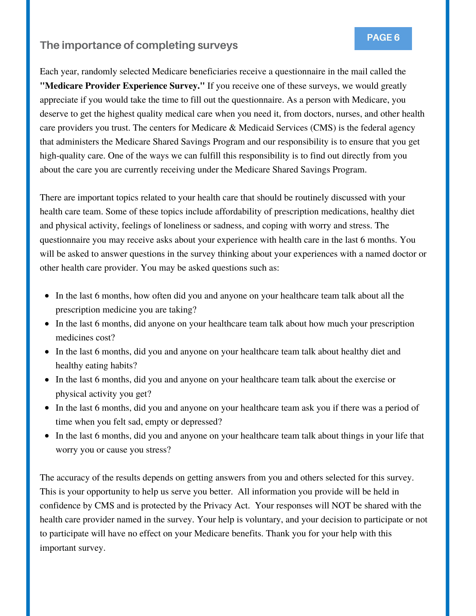## **PAGE 6 The importance of completing surveys**

Each year, randomly selected Medicare beneficiaries receive a questionnaire in the mail called the **"Medicare Provider Experience Survey."** If you receive one of these surveys, we would greatly appreciate if you would take the time to fill out the questionnaire. As a person with Medicare, you deserve to get the highest quality medical care when you need it, from doctors, nurses, and other health care providers you trust. The centers for Medicare & Medicaid Services (CMS) is the federal agency that administers the Medicare Shared Savings Program and our responsibility is to ensure that you get high-quality care. One of the ways we can fulfill this responsibility is to find out directly from you about the care you are currently receiving under the Medicare Shared Savings Program.

There are important topics related to your health care that should be routinely discussed with your health care team. Some of these topics include affordability of prescription medications, healthy diet and physical activity, feelings of loneliness or sadness, and coping with worry and stress. The questionnaire you may receive asks about your experience with health care in the last 6 months. You will be asked to answer questions in the survey thinking about your experiences with a named doctor or other health care provider. You may be asked questions such as:

- In the last 6 months, how often did you and anyone on your healthcare team talk about all the prescription medicine you are taking?
- In the last 6 months, did anyone on your healthcare team talk about how much your prescription medicines cost?
- In the last 6 months, did you and anyone on your healthcare team talk about healthy diet and healthy eating habits?
- In the last 6 months, did you and anyone on your healthcare team talk about the exercise or physical activity you get?
- In the last 6 months, did you and anyone on your healthcare team ask you if there was a period of time when you felt sad, empty or depressed?
- In the last 6 months, did you and anyone on your healthcare team talk about things in your life that worry you or cause you stress?

The accuracy of the results depends on getting answers from you and others selected for this survey. This is your opportunity to help us serve you better. All information you provide will be held in confidence by CMS and is protected by the Privacy Act. Your responses will NOT be shared with the health care provider named in the survey. Your help is voluntary, and your decision to participate or not to participate will have no effect on your Medicare benefits. Thank you for your help with this important survey.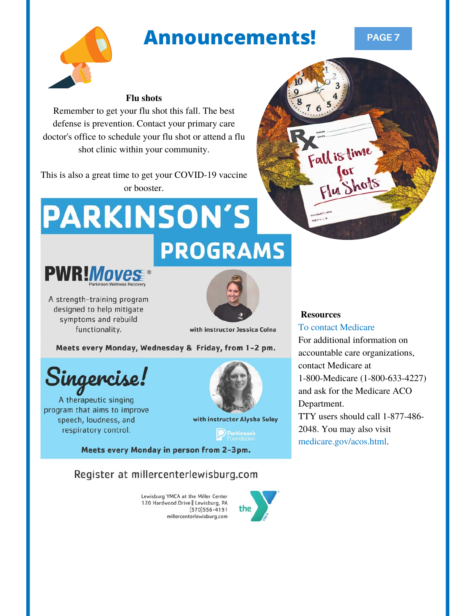## **Announcements! PAGE 7**



## **Flu shots**

Remember to get your flu shot this fall. The best defense is prevention. Contact your primary care doctor's office to schedule your flu shot or attend a flu shot clinic within your community.

This is also a great time to get your COVID-19 vaccine or booster.

# **PARKINSON'S PROGRAMS**



A strength-training program designed to help mitigate symptoms and rebuild functionality.



with instructor Jessica Colna

Meets every Monday, Wednesday & Friday, from 1-2 pm.

Singercise!

A therapeutic singing program that aims to improve speech, loudness, and respiratory control.



with instructor Alysha Suley

**P** Parkinson's

Meets every Monday in person from 2-3pm.

## Register at millercenterlewisburg.com

Lewisburg YMCA at the Miller Center 120 Hardwood Drive | Lewisburg, PA  $(570)556 - 4191$ millercenterlewisburg.com



## **Resources**

## To contact Medicare

Fall is time

hots

For additional information on accountable care organizations, contact Medicare at 1-800-Medicare (1-800-633-4227) and ask for the Medicare ACO Department. TTY users should call 1-877-486- 2048. You may also visit [medicare.gov/acos.html.](http://www.medicare.gov/acos.html)